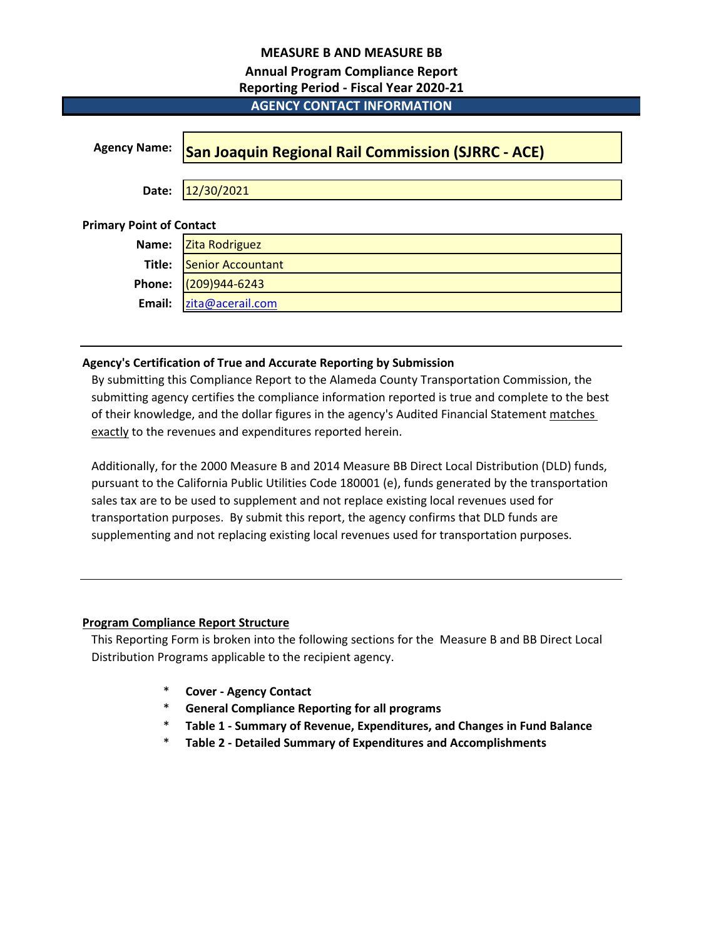## **MEASURE B AND MEASURE BB**

## **Annual Program Compliance Report**

| <b>Reporting Period - Fiscal Year 2020-21</b> |                                                           |  |  |  |  |  |  |  |
|-----------------------------------------------|-----------------------------------------------------------|--|--|--|--|--|--|--|
|                                               | <b>AGENCY CONTACT INFORMATION</b>                         |  |  |  |  |  |  |  |
|                                               |                                                           |  |  |  |  |  |  |  |
| <b>Agency Name:</b>                           | <b>San Joaquin Regional Rail Commission (SJRRC - ACE)</b> |  |  |  |  |  |  |  |
|                                               |                                                           |  |  |  |  |  |  |  |
| Date:                                         | 12/30/2021                                                |  |  |  |  |  |  |  |
|                                               |                                                           |  |  |  |  |  |  |  |
| imary Point of Contact                        |                                                           |  |  |  |  |  |  |  |

# **Primary Point of Contact**

| Name: Zita Rodriguez     |
|--------------------------|
| Title: Senior Accountant |
| Phone: 209)944-6243      |
| Email: zita@acerail.com  |
|                          |

## **Agency's Certification of True and Accurate Reporting by Submission**

By submitting this Compliance Report to the Alameda County Transportation Commission, the submitting agency certifies the compliance information reported is true and complete to the best of their knowledge, and the dollar figures in the agency's Audited Financial Statement matches exactly to the revenues and expenditures reported herein.

Additionally, for the 2000 Measure B and 2014 Measure BB Direct Local Distribution (DLD) funds, pursuant to the California Public Utilities Code 180001 (e), funds generated by the transportation sales tax are to be used to supplement and not replace existing local revenues used for transportation purposes. By submit this report, the agency confirms that DLD funds are supplementing and not replacing existing local revenues used for transportation purposes.

## **Program Compliance Report Structure**

This Reporting Form is broken into the following sections for the Measure B and BB Direct Local Distribution Programs applicable to the recipient agency.

- \* **Cover Agency Contact**
- \* **General Compliance Reporting for all programs**
- \* **Table 1 Summary of Revenue, Expenditures, and Changes in Fund Balance**
- \* **Table 2 Detailed Summary of Expenditures and Accomplishments**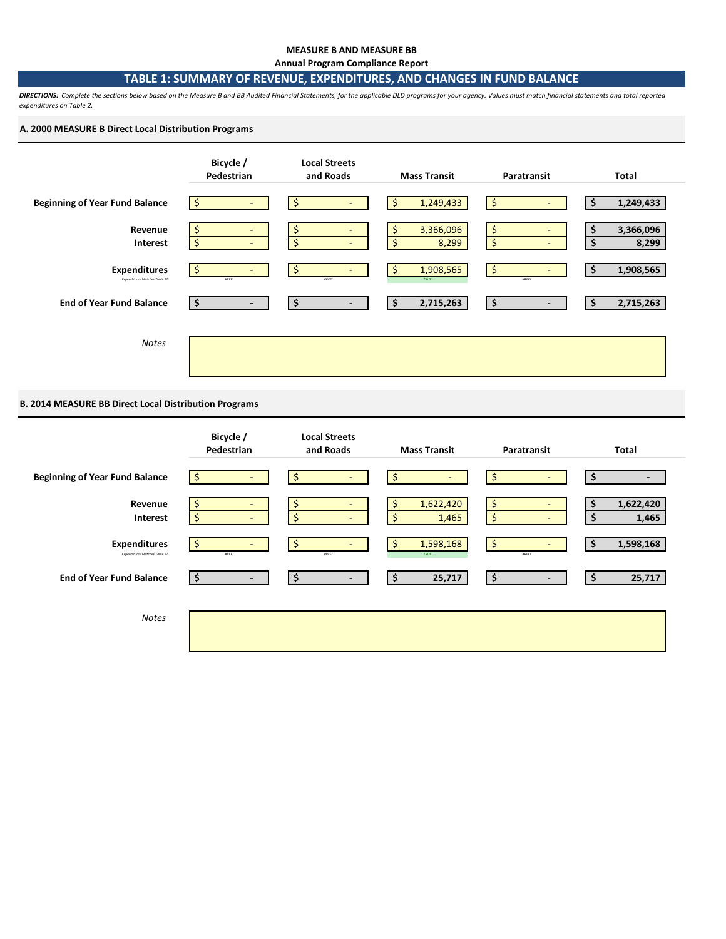#### **MEASURE B AND MEASURE BB**

**Annual Program Compliance Report**

### **TABLE 1: SUMMARY OF REVENUE, EXPENDITURES, AND CHANGES IN FUND BALANCE**

*DIRECTIONS: Complete the sections below based on the Measure B and BB Audited Financial Statements, for the applicable DLD programs for your agency. Values must match financial statements and total reported expenditures on Table 2.* 

### **A. 2000 MEASURE B Direct Local Distribution Programs**



### **B. 2014 MEASURE BB Direct Local Distribution Programs**

|                                                      | Bicycle /<br>Pedestrian                                           | <b>Local Streets</b><br>and Roads    | <b>Mass Transit</b>            | Paratransit                                    | Total                    |
|------------------------------------------------------|-------------------------------------------------------------------|--------------------------------------|--------------------------------|------------------------------------------------|--------------------------|
| <b>Beginning of Year Fund Balance</b>                | $\zeta$<br>$\overline{\phantom{a}}$                               | \$<br>$\overline{\phantom{a}}$       | \$<br>-                        | Ś<br>-                                         | \$<br>$\blacksquare$     |
| Revenue<br>Interest                                  | \$<br>$\blacksquare$<br>$\frac{1}{2}$<br>$\overline{\phantom{a}}$ | Ş<br>\$<br>٠                         | 1,622,420<br>\$<br>\$<br>1,465 | \$<br>٠<br>\$<br>۰.                            | 1,622,420<br>1,465<br>\$ |
| <b>Expenditures</b><br>Expenditures Matches Table 2? | $\zeta$<br>$\overline{\phantom{a}}$<br><b>AREF!</b>               | \$<br>$\blacksquare$<br><b>#REF!</b> | Ś<br>1,598,168<br>TRUE         | \$<br>$\overline{\phantom{0}}$<br><b>#REFI</b> | 1,598,168<br>\$          |
| <b>End of Year Fund Balance</b>                      | $\ddot{\bm{\zeta}}$<br>$\overline{\phantom{a}}$                   | \$<br>$\overline{\phantom{a}}$       | 25,717<br>\$                   | \$<br>$\blacksquare$                           | \$<br>25,717             |
| <b>Notes</b>                                         |                                                                   |                                      |                                |                                                |                          |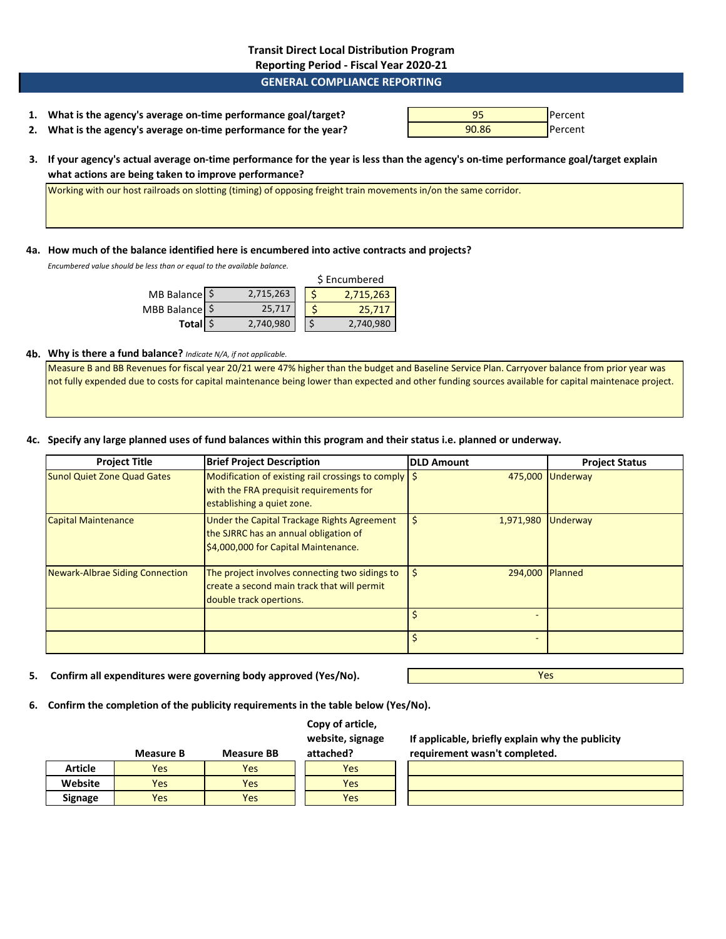### **Transit Direct Local Distribution Program Reporting Period - Fiscal Year 2020-21**

### **GENERAL COMPLIANCE REPORTING**

| 1. What is the agency's average on-time performance goal/target?  | 95    | <b>I</b> Percent |
|-------------------------------------------------------------------|-------|------------------|
| 2. What is the agency's average on-time performance for the year? | 90.86 | <b>I</b> Percent |

**3. If your agency's actual average on-time performance for the year is less than the agency's on-time performance goal/target explain what actions are being taken to improve performance?**

Working with our host railroads on slotting (timing) of opposing freight train movements in/on the same corridor.

#### **4a. How much of the balance identified here is encumbered into active contracts and projects?**

*Encumbered value should be less than or equal to the available balance.* 

|                |           | \$ Encumbered |           |  |  |
|----------------|-----------|---------------|-----------|--|--|
| MB Balance \$  | 2,715,263 |               | 2,715,263 |  |  |
| MBB Balance \$ | 25,717    |               | 25,717    |  |  |
| Total \$       | 2,740,980 |               | 2,740,980 |  |  |

### **4b. Why is there a fund balance?** *Indicate N/A, if not applicable.*

Measure B and BB Revenues for fiscal year 20/21 were 47% higher than the budget and Baseline Service Plan. Carryover balance from prior year was not fully expended due to costs for capital maintenance being lower than expected and other funding sources available for capital maintenace project.

### **4c. Specify any large planned uses of fund balances within this program and their status i.e. planned or underway.**

| <b>Project Title</b>                   | <b>Brief Project Description</b>                                                                                                         | <b>DLD Amount</b>     | <b>Project Status</b> |
|----------------------------------------|------------------------------------------------------------------------------------------------------------------------------------------|-----------------------|-----------------------|
| <b>Sunol Quiet Zone Quad Gates</b>     | Modification of existing rail crossings to comply $\frac{1}{2}$<br>with the FRA prequisit requirements for<br>establishing a quiet zone. |                       | 475,000 Underway      |
| <b>Capital Maintenance</b>             | Under the Capital Trackage Rights Agreement<br>the SJRRC has an annual obligation of<br>\$4,000,000 for Capital Maintenance.             | Ś<br>1,971,980        | Underway              |
| <b>Newark-Albrae Siding Connection</b> | The project involves connecting two sidings to<br>create a second main track that will permit<br>double track opertions.                 | 294,000 Planned<br>\$ |                       |
|                                        |                                                                                                                                          |                       |                       |
|                                        |                                                                                                                                          |                       |                       |

**5. Confirm all expenditures were governing body approved (Yes/No).**

Yes

**6. Confirm the completion of the publicity requirements in the table below (Yes/No).**

### **Copy of article, website, signage**

|                | <b>Measure B</b> | <b>Measure BB</b> | attached? |
|----------------|------------------|-------------------|-----------|
| Article        | <b>Yes</b>       | Yes               | res       |
| Website        | Yes              | Yes               | res       |
| <b>Signage</b> | Yes              | Yes               | res       |

**If applicable, briefly explain why the publicity requirement wasn't completed.**